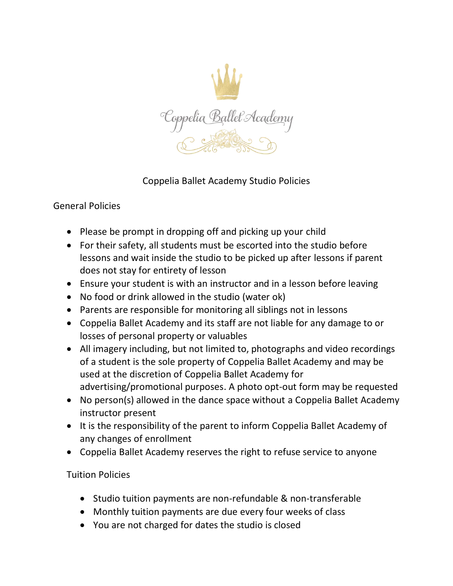

## Coppelia Ballet Academy Studio Policies

## General Policies

- Please be prompt in dropping off and picking up your child
- For their safety, all students must be escorted into the studio before lessons and wait inside the studio to be picked up after lessons if parent does not stay for entirety of lesson
- Ensure your student is with an instructor and in a lesson before leaving
- No food or drink allowed in the studio (water ok)
- Parents are responsible for monitoring all siblings not in lessons
- Coppelia Ballet Academy and its staff are not liable for any damage to or losses of personal property or valuables
- All imagery including, but not limited to, photographs and video recordings of a student is the sole property of Coppelia Ballet Academy and may be used at the discretion of Coppelia Ballet Academy for advertising/promotional purposes. A photo opt-out form may be requested
- No person(s) allowed in the dance space without a Coppelia Ballet Academy instructor present
- It is the responsibility of the parent to inform Coppelia Ballet Academy of any changes of enrollment
- Coppelia Ballet Academy reserves the right to refuse service to anyone

## Tuition Policies

- Studio tuition payments are non-refundable & non-transferable
- Monthly tuition payments are due every four weeks of class
- You are not charged for dates the studio is closed